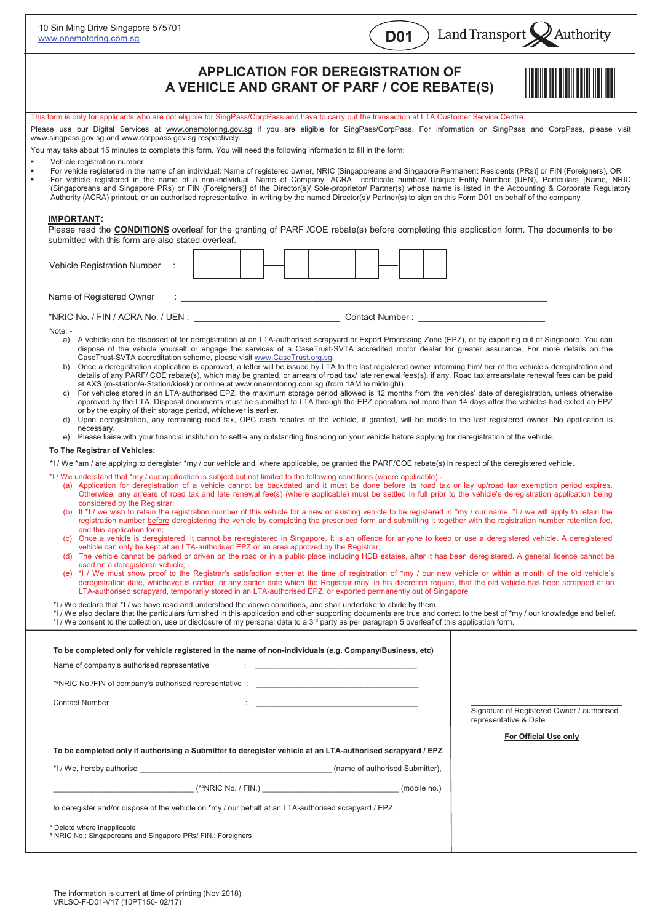| 10 Sin Ming Drive Singapore 575701<br>www.onemotoring.com.sg                                                                                                                                                                                                                                                                                                                                                                                                                                                                                                                                                                                                                                                                                                                                                               |                                                                                                                                                                                                                                                                                                                                                                                                                                                                                                                                                    | <b>D01</b>                                                                                                                                                                                                                                                                                                                                                   | Land Transport<br>$\lambda$ Authority                                                                                                                                                                                                                                                                                                                                                                                                                                                                                                                                                                                                                                                                                                                                                                                                                                                                                                                                                                                                                                                                                                                                                                                                                                                                                                                                                                                                                                                                                                                                                                                                                                                                                                                                                                                                                                                                                                                                                                                                                                                                                                                                                                                                                                                                                                                                                                                                                                                                                                                                                                                                                                   |
|----------------------------------------------------------------------------------------------------------------------------------------------------------------------------------------------------------------------------------------------------------------------------------------------------------------------------------------------------------------------------------------------------------------------------------------------------------------------------------------------------------------------------------------------------------------------------------------------------------------------------------------------------------------------------------------------------------------------------------------------------------------------------------------------------------------------------|----------------------------------------------------------------------------------------------------------------------------------------------------------------------------------------------------------------------------------------------------------------------------------------------------------------------------------------------------------------------------------------------------------------------------------------------------------------------------------------------------------------------------------------------------|--------------------------------------------------------------------------------------------------------------------------------------------------------------------------------------------------------------------------------------------------------------------------------------------------------------------------------------------------------------|-------------------------------------------------------------------------------------------------------------------------------------------------------------------------------------------------------------------------------------------------------------------------------------------------------------------------------------------------------------------------------------------------------------------------------------------------------------------------------------------------------------------------------------------------------------------------------------------------------------------------------------------------------------------------------------------------------------------------------------------------------------------------------------------------------------------------------------------------------------------------------------------------------------------------------------------------------------------------------------------------------------------------------------------------------------------------------------------------------------------------------------------------------------------------------------------------------------------------------------------------------------------------------------------------------------------------------------------------------------------------------------------------------------------------------------------------------------------------------------------------------------------------------------------------------------------------------------------------------------------------------------------------------------------------------------------------------------------------------------------------------------------------------------------------------------------------------------------------------------------------------------------------------------------------------------------------------------------------------------------------------------------------------------------------------------------------------------------------------------------------------------------------------------------------------------------------------------------------------------------------------------------------------------------------------------------------------------------------------------------------------------------------------------------------------------------------------------------------------------------------------------------------------------------------------------------------------------------------------------------------------------------------------------------------|
|                                                                                                                                                                                                                                                                                                                                                                                                                                                                                                                                                                                                                                                                                                                                                                                                                            | <b>APPLICATION FOR DEREGISTRATION OF</b><br>A VEHICLE AND GRANT OF PARF / COE REBATE(S)                                                                                                                                                                                                                                                                                                                                                                                                                                                            |                                                                                                                                                                                                                                                                                                                                                              |                                                                                                                                                                                                                                                                                                                                                                                                                                                                                                                                                                                                                                                                                                                                                                                                                                                                                                                                                                                                                                                                                                                                                                                                                                                                                                                                                                                                                                                                                                                                                                                                                                                                                                                                                                                                                                                                                                                                                                                                                                                                                                                                                                                                                                                                                                                                                                                                                                                                                                                                                                                                                                                                         |
| This form is only for applicants who are not eligible for SingPass/CorpPass and have to carry out the transaction at LTA Customer Service Centre.<br>www.singpass.gov.sg and www.corppass.gov.sg respectively.                                                                                                                                                                                                                                                                                                                                                                                                                                                                                                                                                                                                             |                                                                                                                                                                                                                                                                                                                                                                                                                                                                                                                                                    |                                                                                                                                                                                                                                                                                                                                                              | Please use our Digital Services at www.onemotoring.gov.sg if you are eligible for SingPass/CorpPass. For information on SingPass and CorpPass, please visit                                                                                                                                                                                                                                                                                                                                                                                                                                                                                                                                                                                                                                                                                                                                                                                                                                                                                                                                                                                                                                                                                                                                                                                                                                                                                                                                                                                                                                                                                                                                                                                                                                                                                                                                                                                                                                                                                                                                                                                                                                                                                                                                                                                                                                                                                                                                                                                                                                                                                                             |
| You may take about 15 minutes to complete this form. You will need the following information to fill in the form:<br>Vehicle registration number<br>Authority (ACRA) printout, or an authorised representative, in writing by the named Director(s)/ Partner(s) to sign on this Form D01 on behalf of the company                                                                                                                                                                                                                                                                                                                                                                                                                                                                                                          |                                                                                                                                                                                                                                                                                                                                                                                                                                                                                                                                                    |                                                                                                                                                                                                                                                                                                                                                              | For vehicle registered in the name of an individual: Name of registered owner, NRIC [Singaporeans and Singapore Permanent Residents (PRs)] or FIN (Foreigners), OR<br>For vehicle registered in the name of a non-individual: Name of Company, ACRA certificate number/ Unique Entity Number (UEN), Particulars [Name, NRIC<br>(Singaporeans and Singapore PRs) or FIN (Foreigners)] of the Director(s)/ Sole-proprietor/ Partner(s) whose name is listed in the Accounting & Corporate Regulatory                                                                                                                                                                                                                                                                                                                                                                                                                                                                                                                                                                                                                                                                                                                                                                                                                                                                                                                                                                                                                                                                                                                                                                                                                                                                                                                                                                                                                                                                                                                                                                                                                                                                                                                                                                                                                                                                                                                                                                                                                                                                                                                                                                      |
| <b>IMPORTANT:</b><br>submitted with this form are also stated overleaf.                                                                                                                                                                                                                                                                                                                                                                                                                                                                                                                                                                                                                                                                                                                                                    |                                                                                                                                                                                                                                                                                                                                                                                                                                                                                                                                                    |                                                                                                                                                                                                                                                                                                                                                              | Please read the <b>CONDITIONS</b> overleaf for the granting of PARF /COE rebate(s) before completing this application form. The documents to be                                                                                                                                                                                                                                                                                                                                                                                                                                                                                                                                                                                                                                                                                                                                                                                                                                                                                                                                                                                                                                                                                                                                                                                                                                                                                                                                                                                                                                                                                                                                                                                                                                                                                                                                                                                                                                                                                                                                                                                                                                                                                                                                                                                                                                                                                                                                                                                                                                                                                                                         |
| Vehicle Registration Number                                                                                                                                                                                                                                                                                                                                                                                                                                                                                                                                                                                                                                                                                                                                                                                                |                                                                                                                                                                                                                                                                                                                                                                                                                                                                                                                                                    |                                                                                                                                                                                                                                                                                                                                                              |                                                                                                                                                                                                                                                                                                                                                                                                                                                                                                                                                                                                                                                                                                                                                                                                                                                                                                                                                                                                                                                                                                                                                                                                                                                                                                                                                                                                                                                                                                                                                                                                                                                                                                                                                                                                                                                                                                                                                                                                                                                                                                                                                                                                                                                                                                                                                                                                                                                                                                                                                                                                                                                                         |
| Name of Registered Owner                                                                                                                                                                                                                                                                                                                                                                                                                                                                                                                                                                                                                                                                                                                                                                                                   |                                                                                                                                                                                                                                                                                                                                                                                                                                                                                                                                                    | Contact Number: University of the Contact Number of the Contact of the Contact of the Contact of the Contact of the Contact of the Contact of the Contact of the Contact of the Contact of the Contact of the Contact of the C                                                                                                                               |                                                                                                                                                                                                                                                                                                                                                                                                                                                                                                                                                                                                                                                                                                                                                                                                                                                                                                                                                                                                                                                                                                                                                                                                                                                                                                                                                                                                                                                                                                                                                                                                                                                                                                                                                                                                                                                                                                                                                                                                                                                                                                                                                                                                                                                                                                                                                                                                                                                                                                                                                                                                                                                                         |
| Note: -<br>b)<br>C)<br>or by the expiry of their storage period, whichever is earlier.<br>d)<br>necessary.<br>To The Registrar of Vehicles:<br>*I / We *am / are applying to deregister *my / our vehicle and, where applicable, be granted the PARF/COE rebate(s) in respect of the deregistered vehicle.<br>*I / We understand that *my / our application is subject but not limited to the following conditions (where applicable):-<br>considered by the Registrar;<br>and this application form;<br>used on a deregistered vehicle;<br>*I / We declare that *I / we have read and understood the above conditions, and shall undertake to abide by them.<br>*I / We consent to the collection, use or disclosure of my personal data to a 3 <sup>rd</sup> party as per paragraph 5 overleaf of this application form. | CaseTrust-SVTA accreditation scheme, please visit www.CaseTrust.org.sq.<br>at AXS (m-station/e-Station/kiosk) or online at www.onemotoring.com.sg (from 1AM to midnight).<br>e) Please liaise with your financial institution to settle any outstanding financing on your vehicle before applying for deregistration of the vehicle.<br>vehicle can only be kept at an LTA-authorised EPZ or an area approved by the Registrar;<br>LTA-authorised scrapyard, temporarily stored in an LTA-authorised EPZ, or exported permanently out of Singapore |                                                                                                                                                                                                                                                                                                                                                              | a) A vehicle can be disposed of for deregistration at an LTA-authorised scrapyard or Export Processing Zone (EPZ), or by exporting out of Singapore. You can<br>dispose of the vehicle yourself or engage the services of a CaseTrust-SVTA accredited motor dealer for greater assurance. For more details on the<br>Once a deregistration application is approved, a letter will be issued by LTA to the last registered owner informing him/ her of the vehicle's deregistration and<br>details of any PARF/COE rebate(s), which may be granted, or arrears of road tax/late renewal fees(s), if any. Road tax arrears/late renewal fees can be paid<br>For vehicles stored in an LTA-authorised EPZ, the maximum storage period allowed is 12 months from the vehicles' date of deregistration, unless otherwise<br>approved by the LTA. Disposal documents must be submitted to LTA through the EPZ operators not more than 14 days after the vehicles had exited an EPZ<br>Upon deregistration, any remaining road tax, OPC cash rebates of the vehicle, if granted, will be made to the last registered owner. No application is<br>(a) Application for deregistration of a vehicle cannot be backdated and it must be done before its road tax or lay up/road tax exemption period expires.<br>Otherwise, any arrears of road tax and late renewal fee(s) (where applicable) must be settled in full prior to the vehicle's deregistration application being<br>(b) If *I / we wish to retain the registration number of this vehicle for a new or existing vehicle to be registered in *my / our name, *I / we will apply to retain the<br>registration number before deregistering the vehicle by completing the prescribed form and submitting it together with the registration number retention fee.<br>(c) Once a vehicle is deregistered, it cannot be re-registered in Singapore. It is an offence for anyone to keep or use a deregistered vehicle. A deregistered<br>(d) The vehicle cannot be parked or driven on the road or in a public place including HDB estates, after it has been deregistered. A general licence cannot be<br>(e) *I / We must show proof to the Registrar's satisfaction either at the time of registration of *my / our new vehicle or within a month of the old vehicle's<br>deregistration date, whichever is earlier, or any earlier date which the Registrar may, in his discretion require, that the old vehicle has been scrapped at an<br>*I / We also declare that the particulars furnished in this application and other supporting documents are true and correct to the best of *my / our knowledge and belief. |
| To be completed only for vehicle registered in the name of non-individuals (e.g. Company/Business, etc)<br>Name of company's authorised representative<br>**NRIC No./FIN of company's authorised representative :<br><b>Contact Number</b>                                                                                                                                                                                                                                                                                                                                                                                                                                                                                                                                                                                 |                                                                                                                                                                                                                                                                                                                                                                                                                                                                                                                                                    | the <u>company of the company of the company of the company of the company of the company of the company of the company</u><br>the company of the company of the company of the company of the company of the company of the company of the company of the company of the company of the company of the company of the company of the company of the company | Signature of Registered Owner / authorised<br>representative & Date                                                                                                                                                                                                                                                                                                                                                                                                                                                                                                                                                                                                                                                                                                                                                                                                                                                                                                                                                                                                                                                                                                                                                                                                                                                                                                                                                                                                                                                                                                                                                                                                                                                                                                                                                                                                                                                                                                                                                                                                                                                                                                                                                                                                                                                                                                                                                                                                                                                                                                                                                                                                     |
|                                                                                                                                                                                                                                                                                                                                                                                                                                                                                                                                                                                                                                                                                                                                                                                                                            |                                                                                                                                                                                                                                                                                                                                                                                                                                                                                                                                                    |                                                                                                                                                                                                                                                                                                                                                              | For Official Use only                                                                                                                                                                                                                                                                                                                                                                                                                                                                                                                                                                                                                                                                                                                                                                                                                                                                                                                                                                                                                                                                                                                                                                                                                                                                                                                                                                                                                                                                                                                                                                                                                                                                                                                                                                                                                                                                                                                                                                                                                                                                                                                                                                                                                                                                                                                                                                                                                                                                                                                                                                                                                                                   |
| To be completed only if authorising a Submitter to deregister vehicle at an LTA-authorised scrapyard / EPZ<br>*I/We, hereby authorise example and the set of authorised Submitter),                                                                                                                                                                                                                                                                                                                                                                                                                                                                                                                                                                                                                                        |                                                                                                                                                                                                                                                                                                                                                                                                                                                                                                                                                    |                                                                                                                                                                                                                                                                                                                                                              |                                                                                                                                                                                                                                                                                                                                                                                                                                                                                                                                                                                                                                                                                                                                                                                                                                                                                                                                                                                                                                                                                                                                                                                                                                                                                                                                                                                                                                                                                                                                                                                                                                                                                                                                                                                                                                                                                                                                                                                                                                                                                                                                                                                                                                                                                                                                                                                                                                                                                                                                                                                                                                                                         |
| to deregister and/or dispose of the vehicle on *my / our behalf at an LTA-authorised scrapyard / EPZ.<br>* Delete where inapplicable<br>* NRIC No : Singaporeans and Singapore PRs/ FIN : Foreigners                                                                                                                                                                                                                                                                                                                                                                                                                                                                                                                                                                                                                       |                                                                                                                                                                                                                                                                                                                                                                                                                                                                                                                                                    |                                                                                                                                                                                                                                                                                                                                                              |                                                                                                                                                                                                                                                                                                                                                                                                                                                                                                                                                                                                                                                                                                                                                                                                                                                                                                                                                                                                                                                                                                                                                                                                                                                                                                                                                                                                                                                                                                                                                                                                                                                                                                                                                                                                                                                                                                                                                                                                                                                                                                                                                                                                                                                                                                                                                                                                                                                                                                                                                                                                                                                                         |

No.: Singaporeans and Singapore PRs/ FIN.: Foreigners